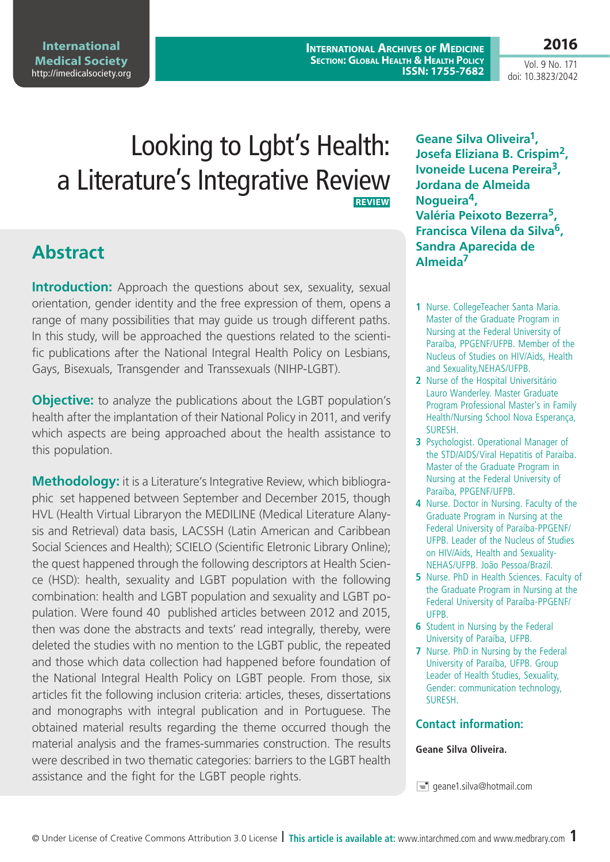© Under License of Creative Commons Attribution 3.0 License **| This article is available at:** www.intarchmed.com and [www.medbrary.com](http://www.medbrary.com) 1

Looking to Lgbt's Health: a Literature's Integrative Review  **REVIEW**

## **Abstract**

**Introduction:** Approach the questions about sex, sexuality, sexual orientation, gender identity and the free expression of them, opens a range of many possibilities that may guide us trough different paths. In this study, will be approached the questions related to the scientific publications after the National Integral Health Policy on Lesbians, Gays, Bisexuals, Transgender and Transsexuals (NIHP-LGBT).

**Objective:** to analyze the publications about the LGBT population's health after the implantation of their National Policy in 2011, and verify which aspects are being approached about the health assistance to this population.

**Methodology:** it is a Literature's Integrative Review, which bibliographic set happened between September and December 2015, though HVL (Health Virtual Libraryon the MEDILINE (Medical Literature Alanysis and Retrieval) data basis, LACSSH (Latin American and Caribbean Social Sciences and Health); SCIELO (Scientific Eletronic Library Online); the quest happened through the following descriptors at Health Science (HSD): health, sexuality and LGBT population with the following combination: health and LGBT population and sexuality and LGBT population. Were found 40 published articles between 2012 and 2015, then was done the abstracts and texts' read integrally, thereby, were deleted the studies with no mention to the LGBT public, the repeated and those which data collection had happened before foundation of the National Integral Health Policy on LGBT people. From those, six articles fit the following inclusion criteria: articles, theses, dissertations and monographs with integral publication and in Portuguese. The obtained material results regarding the theme occurred though the material analysis and the frames-summaries construction. The results were described in two thematic categories: barriers to the LGBT health assistance and the fight for the LGBT people rights.

**Geane Silva Oliveira1, Josefa Eliziana B. Crispim2, Ivoneide Lucena Pereira3, Jordana de Almeida Nogueira4, Valéria Peixoto Bezerra5, Francisca Vilena da Silva6, Sandra Aparecida de Almeida7**

- **1** Nurse. CollegeTeacher Santa Maria. Master of the Graduate Program in Nursing at the Federal University of Paraíba, PPGENF/UFPB. Member of the Nucleus of Studies on HIV/Aids, Health and Sexuality,NEHAS/UFPB.
- **2** Nurse of the Hospital Universitário Lauro Wanderley. Master Graduate Program Professional Master's in Family Health/Nursing School Nova Esperança, SURESH.
- **3** Psychologist. Operational Manager of the STD/AIDS/Viral Hepatitis of Paraíba. Master of the Graduate Program in Nursing at the Federal University of Paraíba, PPGENF/UFPB.
- **4** Nurse. Doctor in Nursing. Faculty of the Graduate Program in Nursing at the Federal University of Paraíba-PPGENF/ UFPB. Leader of the Nucleus of Studies on HIV/Aids, Health and Sexuality-NEHAS/UFPB. João Pessoa/Brazil.
- **5** Nurse. PhD in Health Sciences. Faculty of the Graduate Program in Nursing at the Federal University of Paraíba-PPGENF/ UFPB.
- **6** Student in Nursing by the Federal University of Paraíba, UFPB.
- **7** Nurse. PhD in Nursing by the Federal University of Paraíba, UFPB. Group Leader of Health Studies, Sexuality, Gender: communication technology, SURESH.

#### **Contact information:**

#### **Geane Silva Oliveira.**

 $\equiv$  geane1.silva@hotmail.com

**2016**

Vol. 9 No. 171 doi: 10.3823/2042

**International Archives of Medicine Section: Global Health & Health Policy ISSN: 1755-7682**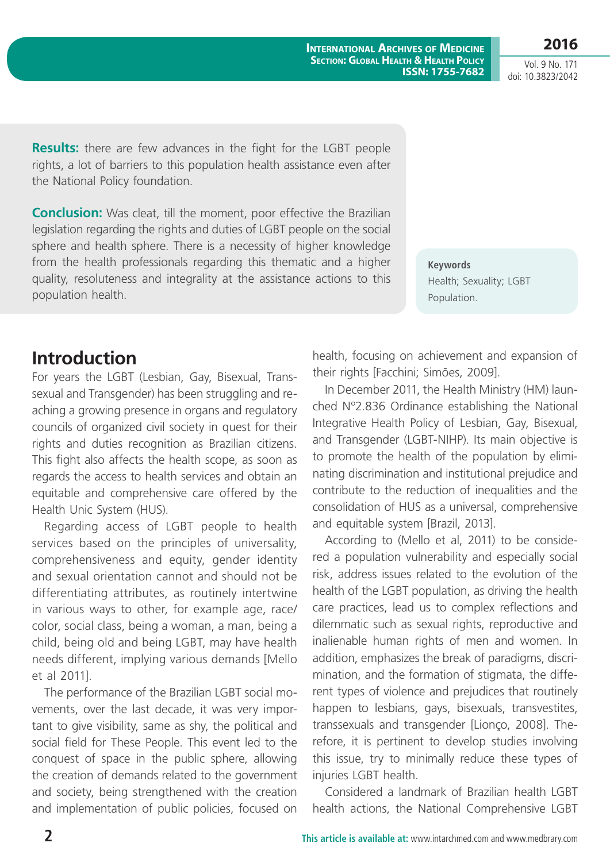**2016**

Vol. 9 No. 171 doi: 10.3823/2042

**Results:** there are few advances in the fight for the LGBT people rights, a lot of barriers to this population health assistance even after the National Policy foundation.

**Conclusion:** Was cleat, till the moment, poor effective the Brazilian legislation regarding the rights and duties of LGBT people on the social sphere and health sphere. There is a necessity of higher knowledge from the health professionals regarding this thematic and a higher quality, resoluteness and integrality at the assistance actions to this population health.

**Keywords** Health; Sexuality; LGBT Population.

## **Introduction**

For years the LGBT (Lesbian, Gay, Bisexual, Transsexual and Transgender) has been struggling and reaching a growing presence in organs and regulatory councils of organized civil society in quest for their rights and duties recognition as Brazilian citizens. This fight also affects the health scope, as soon as regards the access to health services and obtain an equitable and comprehensive care offered by the Health Unic System (HUS).

Regarding access of LGBT people to health services based on the principles of universality, comprehensiveness and equity, gender identity and sexual orientation cannot and should not be differentiating attributes, as routinely intertwine in various ways to other, for example age, race/ color, social class, being a woman, a man, being a child, being old and being LGBT, may have health needs different, implying various demands [Mello et al 2011].

The performance of the Brazilian LGBT social movements, over the last decade, it was very important to give visibility, same as shy, the political and social field for These People. This event led to the conquest of space in the public sphere, allowing the creation of demands related to the government and society, being strengthened with the creation and implementation of public policies, focused on health, focusing on achievement and expansion of their rights [Facchini; Simões, 2009].

In December 2011, the Health Ministry (HM) launched Nº2.836 Ordinance establishing the National Integrative Health Policy of Lesbian, Gay, Bisexual, and Transgender (LGBT-NIHP). Its main objective is to promote the health of the population by eliminating discrimination and institutional prejudice and contribute to the reduction of inequalities and the consolidation of HUS as a universal, comprehensive and equitable system [Brazil, 2013].

According to (Mello et al, 2011) to be considered a population vulnerability and especially social risk, address issues related to the evolution of the health of the LGBT population, as driving the health care practices, lead us to complex reflections and dilemmatic such as sexual rights, reproductive and inalienable human rights of men and women. In addition, emphasizes the break of paradigms, discrimination, and the formation of stigmata, the different types of violence and prejudices that routinely happen to lesbians, gays, bisexuals, transvestites, transsexuals and transgender [Lionço, 2008]. Therefore, it is pertinent to develop studies involving this issue, try to minimally reduce these types of injuries LGBT health.

Considered a landmark of Brazilian health LGBT health actions, the National Comprehensive LGBT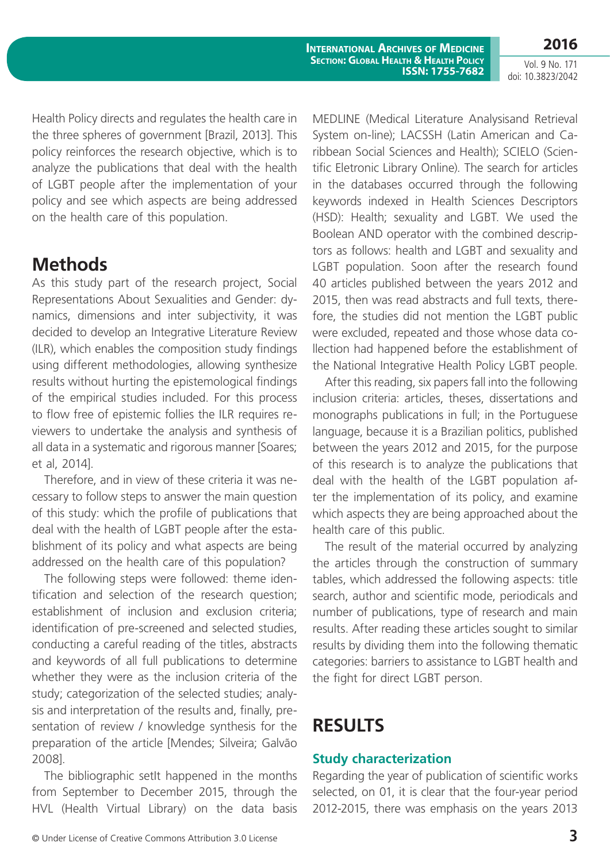**2016**

Vol. 9 No. 171 doi: 10.3823/2042

Health Policy directs and regulates the health care in the three spheres of government [Brazil, 2013]. This policy reinforces the research objective, which is to analyze the publications that deal with the health of LGBT people after the implementation of your policy and see which aspects are being addressed on the health care of this population.

## **Methods**

As this study part of the research project, Social Representations About Sexualities and Gender: dynamics, dimensions and inter subjectivity, it was decided to develop an Integrative Literature Review (ILR), which enables the composition study findings using different methodologies, allowing synthesize results without hurting the epistemological findings of the empirical studies included. For this process to flow free of epistemic follies the ILR requires reviewers to undertake the analysis and synthesis of all data in a systematic and rigorous manner [Soares; et al, 2014].

Therefore, and in view of these criteria it was necessary to follow steps to answer the main question of this study: which the profile of publications that deal with the health of LGBT people after the establishment of its policy and what aspects are being addressed on the health care of this population?

The following steps were followed: theme identification and selection of the research question; establishment of inclusion and exclusion criteria; identification of pre-screened and selected studies, conducting a careful reading of the titles, abstracts and keywords of all full publications to determine whether they were as the inclusion criteria of the study; categorization of the selected studies; analysis and interpretation of the results and, finally, presentation of review / knowledge synthesis for the preparation of the article [Mendes; Silveira; Galvão 2008].

The bibliographic setIt happened in the months from September to December 2015, through the HVL (Health Virtual Library) on the data basis MEDLINE (Medical Literature Analysisand Retrieval System on-line); LACSSH (Latin American and Caribbean Social Sciences and Health); SCIELO (Scientific Eletronic Library Online). The search for articles in the databases occurred through the following keywords indexed in Health Sciences Descriptors (HSD): Health; sexuality and LGBT. We used the Boolean AND operator with the combined descriptors as follows: health and LGBT and sexuality and LGBT population. Soon after the research found 40 articles published between the years 2012 and 2015, then was read abstracts and full texts, therefore, the studies did not mention the LGBT public were excluded, repeated and those whose data collection had happened before the establishment of the National Integrative Health Policy LGBT people.

After this reading, six papers fall into the following inclusion criteria: articles, theses, dissertations and monographs publications in full; in the Portuguese language, because it is a Brazilian politics, published between the years 2012 and 2015, for the purpose of this research is to analyze the publications that deal with the health of the LGBT population after the implementation of its policy, and examine which aspects they are being approached about the health care of this public.

The result of the material occurred by analyzing the articles through the construction of summary tables, which addressed the following aspects: title search, author and scientific mode, periodicals and number of publications, type of research and main results. After reading these articles sought to similar results by dividing them into the following thematic categories: barriers to assistance to LGBT health and the fight for direct LGBT person.

# **RESULTS**

#### **Study characterization**

Regarding the year of publication of scientific works selected, on 01, it is clear that the four-year period 2012-2015, there was emphasis on the years 2013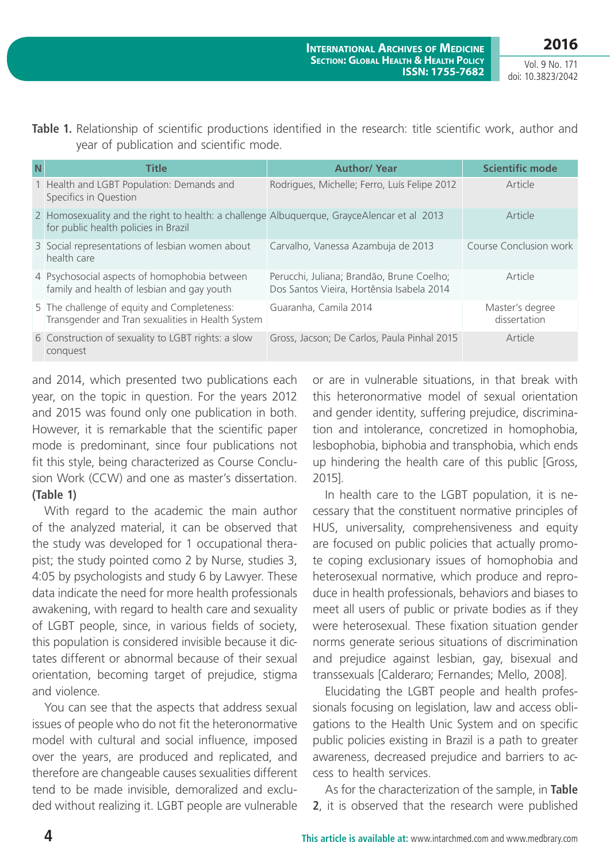Vol. 9 No. 171 doi: 10.3823/2042

|  |  | Table 1. Relationship of scientific productions identified in the research: title scientific work, author and |  |  |  |  |  |
|--|--|---------------------------------------------------------------------------------------------------------------|--|--|--|--|--|
|  |  | year of publication and scientific mode.                                                                      |  |  |  |  |  |

| N | <b>Title</b>                                                                                                                       | <b>Author/ Year</b>                                                                    | <b>Scientific mode</b>          |
|---|------------------------------------------------------------------------------------------------------------------------------------|----------------------------------------------------------------------------------------|---------------------------------|
|   | 1 Health and LGBT Population: Demands and<br>Specifics in Question                                                                 | Rodrigues, Michelle; Ferro, Luís Felipe 2012                                           | Article                         |
|   | 2 Homosexuality and the right to health: a challenge Albuguergue, GrayceAlencar et al 2013<br>for public health policies in Brazil |                                                                                        | Article                         |
|   | 3 Social representations of lesbian women about<br>health care                                                                     | Carvalho, Vanessa Azambuja de 2013                                                     | Course Conclusion work          |
|   | 4 Psychosocial aspects of homophobia between<br>family and health of lesbian and gay youth                                         | Perucchi, Juliana; Brandão, Brune Coelho;<br>Dos Santos Vieira, Hortênsia Isabela 2014 | Article                         |
|   | 5 The challenge of equity and Completeness:<br>Transgender and Tran sexualities in Health System                                   | Guaranha, Camila 2014                                                                  | Master's degree<br>dissertation |
|   | 6 Construction of sexuality to LGBT rights: a slow<br>conquest                                                                     | Gross, Jacson; De Carlos, Paula Pinhal 2015                                            | Article                         |

and 2014, which presented two publications each year, on the topic in question. For the years 2012 and 2015 was found only one publication in both. However, it is remarkable that the scientific paper mode is predominant, since four publications not fit this style, being characterized as Course Conclusion Work (CCW) and one as master's dissertation. **(Table 1)**

With regard to the academic the main author of the analyzed material, it can be observed that the study was developed for 1 occupational therapist; the study pointed como 2 by Nurse, studies 3, 4:05 by psychologists and study 6 by Lawyer. These data indicate the need for more health professionals awakening, with regard to health care and sexuality of LGBT people, since, in various fields of society, this population is considered invisible because it dictates different or abnormal because of their sexual orientation, becoming target of prejudice, stigma and violence.

You can see that the aspects that address sexual issues of people who do not fit the heteronormative model with cultural and social influence, imposed over the years, are produced and replicated, and therefore are changeable causes sexualities different tend to be made invisible, demoralized and excluded without realizing it. LGBT people are vulnerable or are in vulnerable situations, in that break with this heteronormative model of sexual orientation and gender identity, suffering prejudice, discrimination and intolerance, concretized in homophobia, lesbophobia, biphobia and transphobia, which ends up hindering the health care of this public [Gross, 2015].

In health care to the LGBT population, it is necessary that the constituent normative principles of HUS, universality, comprehensiveness and equity are focused on public policies that actually promote coping exclusionary issues of homophobia and heterosexual normative, which produce and reproduce in health professionals, behaviors and biases to meet all users of public or private bodies as if they were heterosexual. These fixation situation gender norms generate serious situations of discrimination and prejudice against lesbian, gay, bisexual and transsexuals [Calderaro; Fernandes; Mello, 2008].

Elucidating the LGBT people and health professionals focusing on legislation, law and access obligations to the Health Unic System and on specific public policies existing in Brazil is a path to greater awareness, decreased prejudice and barriers to access to health services.

As for the characterization of the sample, in **Table 2**, it is observed that the research were published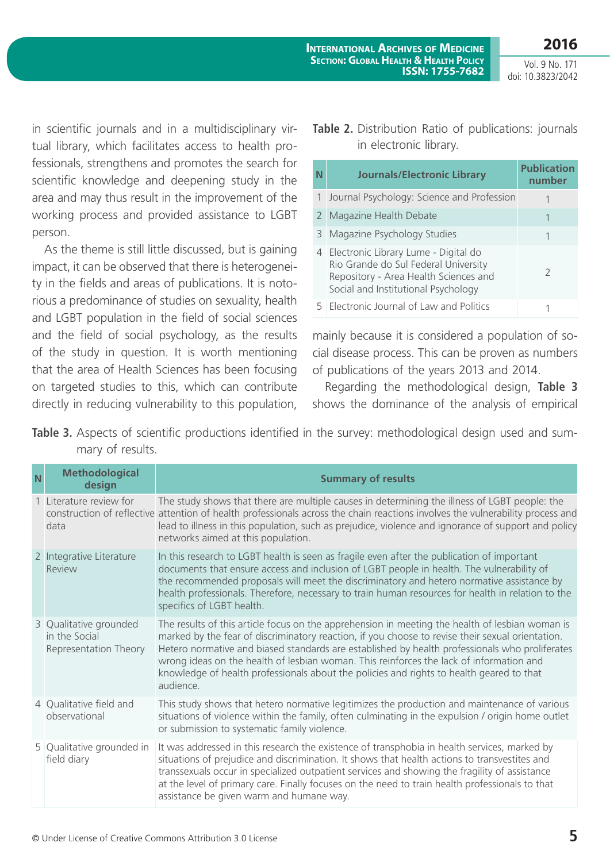**2016**

Vol. 9 No. 171 doi: 10.3823/2042

in scientific journals and in a multidisciplinary virtual library, which facilitates access to health professionals, strengthens and promotes the search for scientific knowledge and deepening study in the area and may thus result in the improvement of the working process and provided assistance to LGBT person.

As the theme is still little discussed, but is gaining impact, it can be observed that there is heterogeneity in the fields and areas of publications. It is notorious a predominance of studies on sexuality, health and LGBT population in the field of social sciences and the field of social psychology, as the results of the study in question. It is worth mentioning that the area of Health Sciences has been focusing on targeted studies to this, which can contribute directly in reducing vulnerability to this population,

#### **Table 2.** Distribution Ratio of publications: journals in electronic library.

| N            | <b>Journals/Electronic Library</b>                                                                                                                           | <b>Publication</b><br>number |
|--------------|--------------------------------------------------------------------------------------------------------------------------------------------------------------|------------------------------|
| $\mathbf{1}$ | Journal Psychology: Science and Profession                                                                                                                   |                              |
|              | 2 Magazine Health Debate                                                                                                                                     |                              |
|              | 3 Magazine Psychology Studies                                                                                                                                |                              |
| 4            | Electronic Library Lume - Digital do<br>Rio Grande do Sul Federal University<br>Repository - Area Health Sciences and<br>Social and Institutional Psychology | 7                            |
| 5.           | <b>Electronic Journal of Law and Politics</b>                                                                                                                |                              |

mainly because it is considered a population of social disease process. This can be proven as numbers of publications of the years 2013 and 2014.

Regarding the methodological design, **Table 3** shows the dominance of the analysis of empirical

Table 3. Aspects of scientific productions identified in the survey: methodological design used and summary of results.

| N | <b>Methodological</b><br>design                                  | <b>Summary of results</b>                                                                                                                                                                                                                                                                                                                                                                                                                                                                                 |
|---|------------------------------------------------------------------|-----------------------------------------------------------------------------------------------------------------------------------------------------------------------------------------------------------------------------------------------------------------------------------------------------------------------------------------------------------------------------------------------------------------------------------------------------------------------------------------------------------|
|   | 1 Literature review for<br>data                                  | The study shows that there are multiple causes in determining the illness of LGBT people: the<br>construction of reflective attention of health professionals across the chain reactions involves the vulnerability process and<br>lead to illness in this population, such as prejudice, violence and ignorance of support and policy<br>networks aimed at this population.                                                                                                                              |
|   | 2 Integrative Literature<br>Review                               | In this research to LGBT health is seen as fragile even after the publication of important<br>documents that ensure access and inclusion of LGBT people in health. The vulnerability of<br>the recommended proposals will meet the discriminatory and hetero normative assistance by<br>health professionals. Therefore, necessary to train human resources for health in relation to the<br>specifics of LGBT health.                                                                                    |
|   | 3 Qualitative grounded<br>in the Social<br>Representation Theory | The results of this article focus on the apprehension in meeting the health of lesbian woman is<br>marked by the fear of discriminatory reaction, if you choose to revise their sexual orientation.<br>Hetero normative and biased standards are established by health professionals who proliferates<br>wrong ideas on the health of lesbian woman. This reinforces the lack of information and<br>knowledge of health professionals about the policies and rights to health geared to that<br>audience. |
|   | 4 Qualitative field and<br>observational                         | This study shows that hetero normative legitimizes the production and maintenance of various<br>situations of violence within the family, often culminating in the expulsion / origin home outlet<br>or submission to systematic family violence.                                                                                                                                                                                                                                                         |
|   | 5 Qualitative grounded in<br>field diary                         | It was addressed in this research the existence of transphobia in health services, marked by<br>situations of prejudice and discrimination. It shows that health actions to transvestites and<br>transsexuals occur in specialized outpatient services and showing the fragility of assistance<br>at the level of primary care. Finally focuses on the need to train health professionals to that<br>assistance be given warm and humane way.                                                             |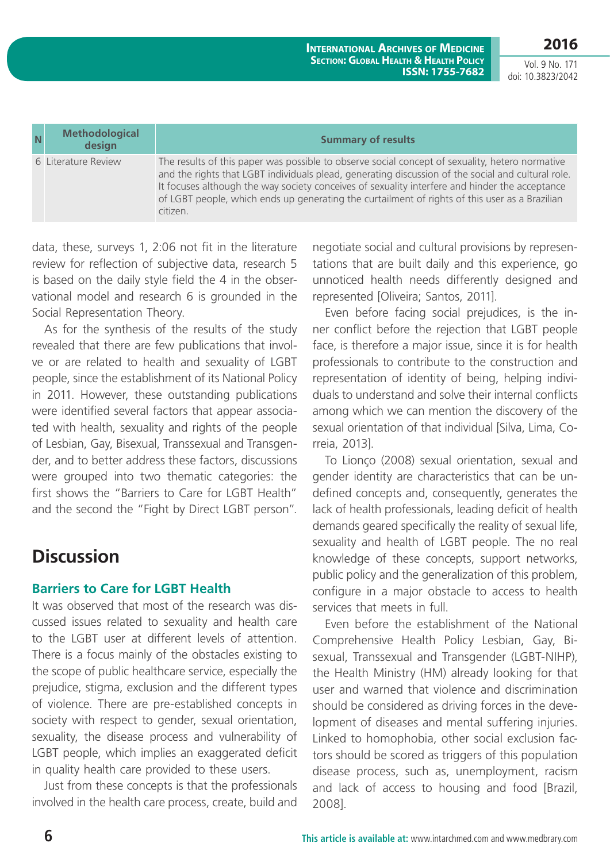Vol. 9 No. 171 doi: 10.3823/2042

**2016**

| N | <b>Methodological</b><br>design | <b>Summary of results</b>                                                                                                                                                                                                                                                                                                                                                                                             |
|---|---------------------------------|-----------------------------------------------------------------------------------------------------------------------------------------------------------------------------------------------------------------------------------------------------------------------------------------------------------------------------------------------------------------------------------------------------------------------|
|   | 6 Literature Review             | The results of this paper was possible to observe social concept of sexuality, hetero normative<br>and the rights that LGBT individuals plead, generating discussion of the social and cultural role.<br>It focuses although the way society conceives of sexuality interfere and hinder the acceptance<br>of LGBT people, which ends up generating the curtailment of rights of this user as a Brazilian<br>citizen. |

data, these, surveys 1, 2:06 not fit in the literature review for reflection of subjective data, research 5 is based on the daily style field the 4 in the observational model and research 6 is grounded in the Social Representation Theory.

As for the synthesis of the results of the study revealed that there are few publications that involve or are related to health and sexuality of LGBT people, since the establishment of its National Policy in 2011. However, these outstanding publications were identified several factors that appear associated with health, sexuality and rights of the people of Lesbian, Gay, Bisexual, Transsexual and Transgender, and to better address these factors, discussions were grouped into two thematic categories: the first shows the "Barriers to Care for LGBT Health" and the second the "Fight by Direct LGBT person".

# **Discussion**

### **Barriers to Care for LGBT Health**

It was observed that most of the research was discussed issues related to sexuality and health care to the LGBT user at different levels of attention. There is a focus mainly of the obstacles existing to the scope of public healthcare service, especially the prejudice, stigma, exclusion and the different types of violence. There are pre-established concepts in society with respect to gender, sexual orientation, sexuality, the disease process and vulnerability of LGBT people, which implies an exaggerated deficit in quality health care provided to these users.

Just from these concepts is that the professionals involved in the health care process, create, build and negotiate social and cultural provisions by representations that are built daily and this experience, go unnoticed health needs differently designed and represented [Oliveira; Santos, 2011].

Even before facing social prejudices, is the inner conflict before the rejection that LGBT people face, is therefore a major issue, since it is for health professionals to contribute to the construction and representation of identity of being, helping individuals to understand and solve their internal conflicts among which we can mention the discovery of the sexual orientation of that individual [Silva, Lima, Correia, 2013].

To Lionço (2008) sexual orientation, sexual and gender identity are characteristics that can be undefined concepts and, consequently, generates the lack of health professionals, leading deficit of health demands geared specifically the reality of sexual life, sexuality and health of LGBT people. The no real knowledge of these concepts, support networks, public policy and the generalization of this problem, configure in a major obstacle to access to health services that meets in full.

Even before the establishment of the National Comprehensive Health Policy Lesbian, Gay, Bisexual, Transsexual and Transgender (LGBT-NIHP), the Health Ministry (HM) already looking for that user and warned that violence and discrimination should be considered as driving forces in the development of diseases and mental suffering injuries. Linked to homophobia, other social exclusion factors should be scored as triggers of this population disease process, such as, unemployment, racism and lack of access to housing and food [Brazil, 2008].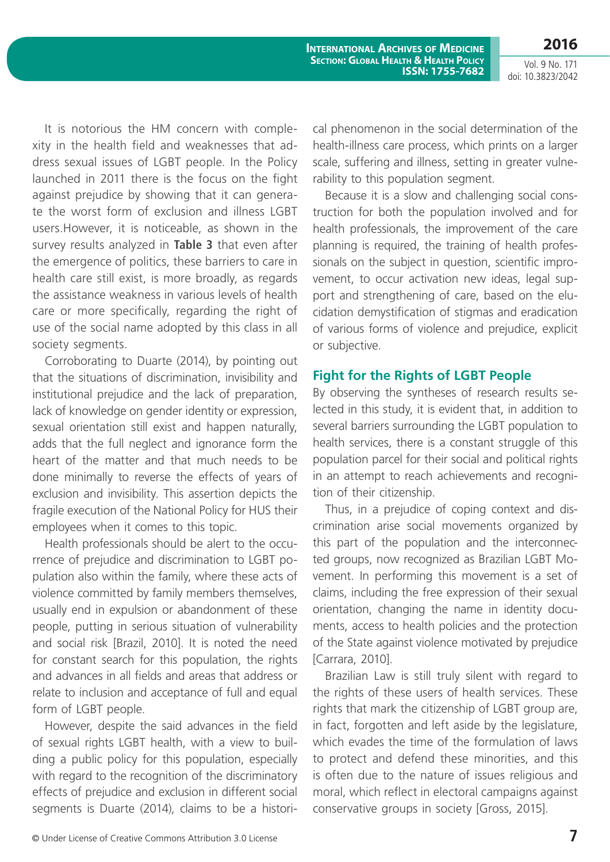Vol. 9 No. 171 doi: 10.3823/2042

**2016**

It is notorious the HM concern with complexity in the health field and weaknesses that address sexual issues of LGBT people. In the Policy launched in 2011 there is the focus on the fight against prejudice by showing that it can generate the worst form of exclusion and illness LGBT users.However, it is noticeable, as shown in the survey results analyzed in **Table 3** that even after the emergence of politics, these barriers to care in health care still exist, is more broadly, as regards the assistance weakness in various levels of health care or more specifically, regarding the right of use of the social name adopted by this class in all society segments.

Corroborating to Duarte (2014), by pointing out that the situations of discrimination, invisibility and institutional prejudice and the lack of preparation, lack of knowledge on gender identity or expression, sexual orientation still exist and happen naturally, adds that the full neglect and ignorance form the heart of the matter and that much needs to be done minimally to reverse the effects of years of exclusion and invisibility. This assertion depicts the fragile execution of the National Policy for HUS their employees when it comes to this topic.

Health professionals should be alert to the occurrence of prejudice and discrimination to LGBT population also within the family, where these acts of violence committed by family members themselves, usually end in expulsion or abandonment of these people, putting in serious situation of vulnerability and social risk [Brazil, 2010]. It is noted the need for constant search for this population, the rights and advances in all fields and areas that address or relate to inclusion and acceptance of full and equal form of LGBT people.

However, despite the said advances in the field of sexual rights LGBT health, with a view to building a public policy for this population, especially with regard to the recognition of the discriminatory effects of prejudice and exclusion in different social segments is Duarte (2014), claims to be a historical phenomenon in the social determination of the health-illness care process, which prints on a larger scale, suffering and illness, setting in greater vulnerability to this population segment.

Because it is a slow and challenging social construction for both the population involved and for health professionals, the improvement of the care planning is required, the training of health professionals on the subject in question, scientific improvement, to occur activation new ideas, legal support and strengthening of care, based on the elucidation demystification of stigmas and eradication of various forms of violence and prejudice, explicit or subjective.

#### **Fight for the Rights of LGBT People**

By observing the syntheses of research results selected in this study, it is evident that, in addition to several barriers surrounding the LGBT population to health services, there is a constant struggle of this population parcel for their social and political rights in an attempt to reach achievements and recognition of their citizenship.

Thus, in a prejudice of coping context and discrimination arise social movements organized by this part of the population and the interconnected groups, now recognized as Brazilian LGBT Movement. In performing this movement is a set of claims, including the free expression of their sexual orientation, changing the name in identity documents, access to health policies and the protection of the State against violence motivated by prejudice [Carrara, 2010].

Brazilian Law is still truly silent with regard to the rights of these users of health services. These rights that mark the citizenship of LGBT group are, in fact, forgotten and left aside by the legislature, which evades the time of the formulation of laws to protect and defend these minorities, and this is often due to the nature of issues religious and moral, which reflect in electoral campaigns against conservative groups in society [Gross, 2015].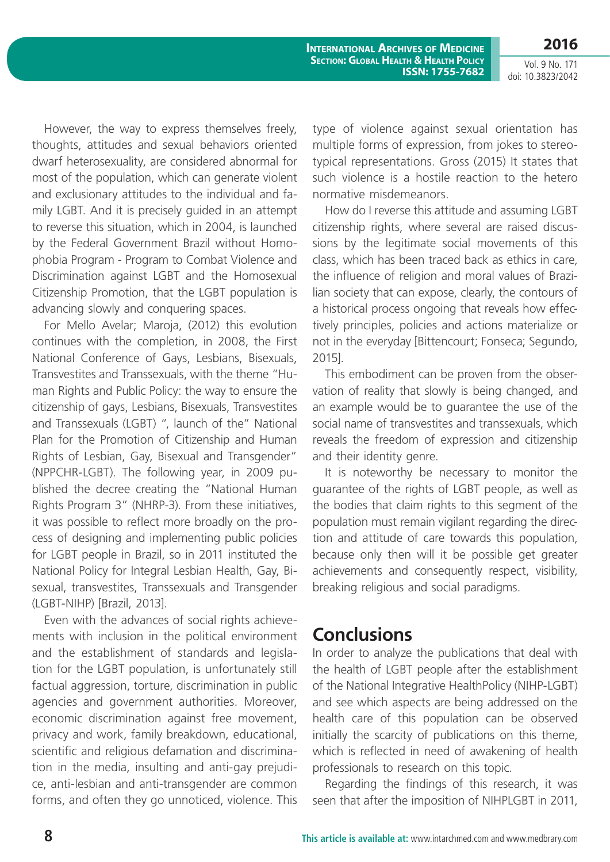Vol. 9 No. 171 doi: 10.3823/2042

**2016**

However, the way to express themselves freely, thoughts, attitudes and sexual behaviors oriented dwarf heterosexuality, are considered abnormal for most of the population, which can generate violent and exclusionary attitudes to the individual and family LGBT. And it is precisely guided in an attempt to reverse this situation, which in 2004, is launched by the Federal Government Brazil without Homophobia Program - Program to Combat Violence and Discrimination against LGBT and the Homosexual Citizenship Promotion, that the LGBT population is advancing slowly and conquering spaces.

For Mello Avelar; Maroja, (2012) this evolution continues with the completion, in 2008, the First National Conference of Gays, Lesbians, Bisexuals, Transvestites and Transsexuals, with the theme "Human Rights and Public Policy: the way to ensure the citizenship of gays, Lesbians, Bisexuals, Transvestites and Transsexuals (LGBT) ", launch of the" National Plan for the Promotion of Citizenship and Human Rights of Lesbian, Gay, Bisexual and Transgender" (NPPCHR-LGBT). The following year, in 2009 published the decree creating the "National Human Rights Program 3" (NHRP-3). From these initiatives, it was possible to reflect more broadly on the process of designing and implementing public policies for LGBT people in Brazil, so in 2011 instituted the National Policy for Integral Lesbian Health, Gay, Bisexual, transvestites, Transsexuals and Transgender (LGBT-NIHP) [Brazil, 2013].

Even with the advances of social rights achievements with inclusion in the political environment and the establishment of standards and legislation for the LGBT population, is unfortunately still factual aggression, torture, discrimination in public agencies and government authorities. Moreover, economic discrimination against free movement, privacy and work, family breakdown, educational, scientific and religious defamation and discrimination in the media, insulting and anti-gay prejudice, anti-lesbian and anti-transgender are common forms, and often they go unnoticed, violence. This

type of violence against sexual orientation has multiple forms of expression, from jokes to stereotypical representations. Gross (2015) It states that such violence is a hostile reaction to the hetero normative misdemeanors.

How do I reverse this attitude and assuming LGBT citizenship rights, where several are raised discussions by the legitimate social movements of this class, which has been traced back as ethics in care, the influence of religion and moral values of Brazilian society that can expose, clearly, the contours of a historical process ongoing that reveals how effectively principles, policies and actions materialize or not in the everyday [Bittencourt; Fonseca; Segundo, 2015].

This embodiment can be proven from the observation of reality that slowly is being changed, and an example would be to guarantee the use of the social name of transvestites and transsexuals, which reveals the freedom of expression and citizenship and their identity genre.

It is noteworthy be necessary to monitor the guarantee of the rights of LGBT people, as well as the bodies that claim rights to this segment of the population must remain vigilant regarding the direction and attitude of care towards this population, because only then will it be possible get greater achievements and consequently respect, visibility, breaking religious and social paradigms.

### **Conclusions**

In order to analyze the publications that deal with the health of LGBT people after the establishment of the National Integrative HealthPolicy (NIHP-LGBT) and see which aspects are being addressed on the health care of this population can be observed initially the scarcity of publications on this theme, which is reflected in need of awakening of health professionals to research on this topic.

Regarding the findings of this research, it was seen that after the imposition of NIHPLGBT in 2011,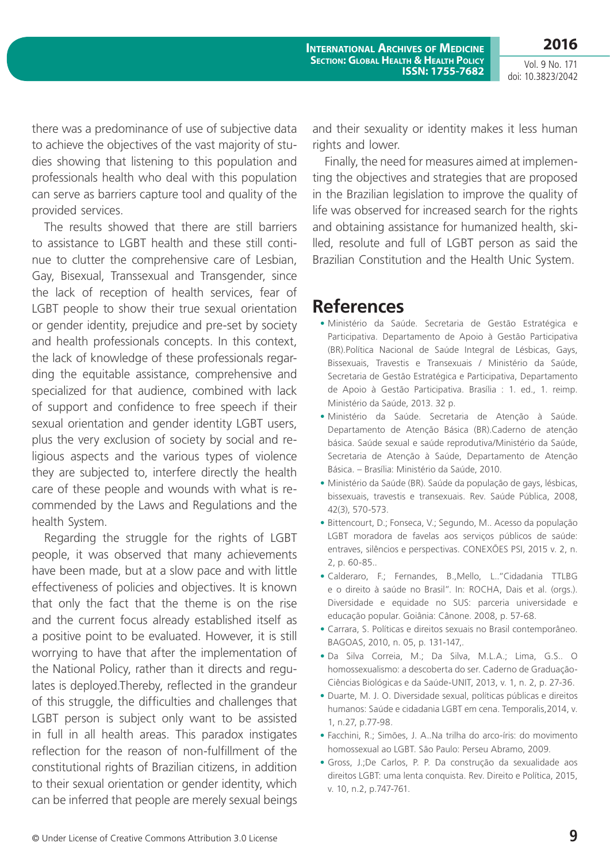**2016**

Vol. 9 No. 171 doi: 10.3823/2042

there was a predominance of use of subjective data to achieve the objectives of the vast majority of studies showing that listening to this population and professionals health who deal with this population can serve as barriers capture tool and quality of the provided services.

The results showed that there are still barriers to assistance to LGBT health and these still continue to clutter the comprehensive care of Lesbian, Gay, Bisexual, Transsexual and Transgender, since the lack of reception of health services, fear of LGBT people to show their true sexual orientation or gender identity, prejudice and pre-set by society and health professionals concepts. In this context, the lack of knowledge of these professionals regarding the equitable assistance, comprehensive and specialized for that audience, combined with lack of support and confidence to free speech if their sexual orientation and gender identity LGBT users, plus the very exclusion of society by social and religious aspects and the various types of violence they are subjected to, interfere directly the health care of these people and wounds with what is recommended by the Laws and Regulations and the health System.

Regarding the struggle for the rights of LGBT people, it was observed that many achievements have been made, but at a slow pace and with little effectiveness of policies and objectives. It is known that only the fact that the theme is on the rise and the current focus already established itself as a positive point to be evaluated. However, it is still worrying to have that after the implementation of the National Policy, rather than it directs and regulates is deployed.Thereby, reflected in the grandeur of this struggle, the difficulties and challenges that LGBT person is subject only want to be assisted in full in all health areas. This paradox instigates reflection for the reason of non-fulfillment of the constitutional rights of Brazilian citizens, in addition to their sexual orientation or gender identity, which can be inferred that people are merely sexual beings and their sexuality or identity makes it less human rights and lower.

Finally, the need for measures aimed at implementing the objectives and strategies that are proposed in the Brazilian legislation to improve the quality of life was observed for increased search for the rights and obtaining assistance for humanized health, skilled, resolute and full of LGBT person as said the Brazilian Constitution and the Health Unic System.

### **References**

- **•** Ministério da Saúde. Secretaria de Gestão Estratégica e Participativa. Departamento de Apoio à Gestão Participativa (BR).Política Nacional de Saúde Integral de Lésbicas, Gays, Bissexuais, Travestis e Transexuais / Ministério da Saúde, Secretaria de Gestão Estratégica e Participativa, Departamento de Apoio à Gestão Participativa. Brasília : 1. ed., 1. reimp. Ministério da Saúde, 2013. 32 p.
- **•** Ministério da Saúde. Secretaria de Atenção à Saúde. Departamento de Atenção Básica (BR).Caderno de atenção básica. Saúde sexual e saúde reprodutiva/Ministério da Saúde, Secretaria de Atenção à Saúde, Departamento de Atenção Básica. – Brasília: Ministério da Saúde, 2010.
- **•** Ministério da Saúde (BR). Saúde da população de gays, lésbicas, bissexuais, travestis e transexuais. Rev. Saúde Pública, 2008, 42(3), 570-573.
- **•** Bittencourt, D.; Fonseca, V.; Segundo, M.. Acesso da população LGBT moradora de favelas aos serviços públicos de saúde: entraves, silêncios e perspectivas. CONEXÕES PSI, 2015 v. 2, n. 2, p. 60-85..
- **•** Calderaro, F.; Fernandes, B.,Mello, L.."Cidadania TTLBG e o direito à saúde no Brasil". In: ROCHA, Dais et al. (orgs.). Diversidade e equidade no SUS: parceria universidade e educação popular. Goiânia: Cânone. 2008, p. 57-68.
- **•** Carrara, S. Políticas e direitos sexuais no Brasil contemporâneo. BAGOAS, 2010, n. 05, p. 131-147,.
- **•** Da Silva Correia, M.; Da Silva, M.L.A.; Lima, G.S.. O homossexualismo: a descoberta do ser. Caderno de Graduação-Ciências Biológicas e da Saúde-UNIT, 2013, v. 1, n. 2, p. 27-36.
- **•** Duarte, M. J. O. Diversidade sexual, políticas públicas e direitos humanos: Saúde e cidadania LGBT em cena. Temporalis,2014, v. 1, n.27, p.77-98.
- **•** Facchini, R.; Simões, J. A..Na trilha do arco-íris: do movimento homossexual ao LGBT. São Paulo: Perseu Abramo, 2009.
- **•** Gross, J.;De Carlos, P. P. Da construção da sexualidade aos direitos LGBT: uma lenta conquista. Rev. Direito e Política, 2015, v. 10, n.2, p.747-761.